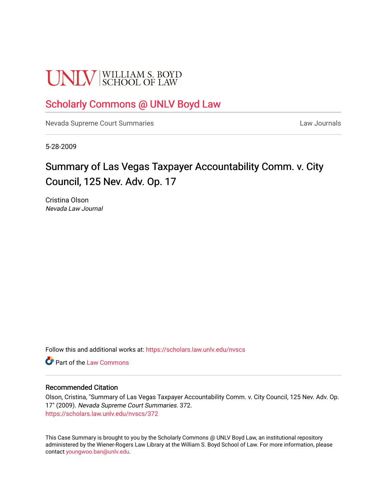# **UNLV** SCHOOL OF LAW

### [Scholarly Commons @ UNLV Boyd Law](https://scholars.law.unlv.edu/)

[Nevada Supreme Court Summaries](https://scholars.law.unlv.edu/nvscs) **Law Journals** Law Journals

5-28-2009

## Summary of Las Vegas Taxpayer Accountability Comm. v. City Council, 125 Nev. Adv. Op. 17

Cristina Olson Nevada Law Journal

Follow this and additional works at: [https://scholars.law.unlv.edu/nvscs](https://scholars.law.unlv.edu/nvscs?utm_source=scholars.law.unlv.edu%2Fnvscs%2F372&utm_medium=PDF&utm_campaign=PDFCoverPages)

**C** Part of the [Law Commons](http://network.bepress.com/hgg/discipline/578?utm_source=scholars.law.unlv.edu%2Fnvscs%2F372&utm_medium=PDF&utm_campaign=PDFCoverPages)

#### Recommended Citation

Olson, Cristina, "Summary of Las Vegas Taxpayer Accountability Comm. v. City Council, 125 Nev. Adv. Op. 17" (2009). Nevada Supreme Court Summaries. 372. [https://scholars.law.unlv.edu/nvscs/372](https://scholars.law.unlv.edu/nvscs/372?utm_source=scholars.law.unlv.edu%2Fnvscs%2F372&utm_medium=PDF&utm_campaign=PDFCoverPages)

This Case Summary is brought to you by the Scholarly Commons @ UNLV Boyd Law, an institutional repository administered by the Wiener-Rogers Law Library at the William S. Boyd School of Law. For more information, please contact [youngwoo.ban@unlv.edu](mailto:youngwoo.ban@unlv.edu).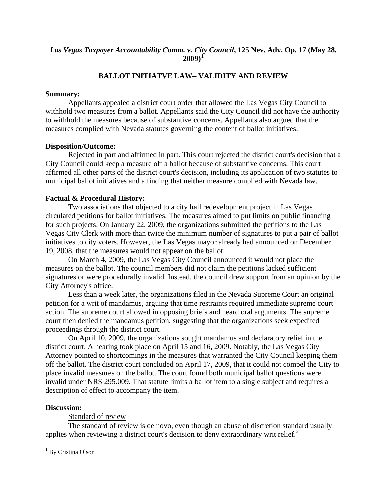#### *Las Vegas Taxpayer Accountability Comm. v. City Council***, 125 Nev. Adv. Op. 17 (May 28, 2009)[1](#page-1-0)**

#### **BALLOT INITIATVE LAW– VALIDITY AND REVIEW**

#### **Summary:**

 Appellants appealed a district court order that allowed the Las Vegas City Council to withhold two measures from a ballot. Appellants said the City Council did not have the authority to withhold the measures because of substantive concerns. Appellants also argued that the measures complied with Nevada statutes governing the content of ballot initiatives.

#### **Disposition/Outcome:**

 Rejected in part and affirmed in part. This court rejected the district court's decision that a City Council could keep a measure off a ballot because of substantive concerns. This court affirmed all other parts of the district court's decision, including its application of two statutes to municipal ballot initiatives and a finding that neither measure complied with Nevada law.

#### **Factual & Procedural History:**

Two associations that objected to a city hall redevelopment project in Las Vegas circulated petitions for ballot initiatives. The measures aimed to put limits on public financing for such projects. On January 22, 2009, the organizations submitted the petitions to the Las Vegas City Clerk with more than twice the minimum number of signatures to put a pair of ballot initiatives to city voters. However, the Las Vegas mayor already had announced on December 19, 2008, that the measures would not appear on the ballot.

 On March 4, 2009, the Las Vegas City Council announced it would not place the measures on the ballot. The council members did not claim the petitions lacked sufficient signatures or were procedurally invalid. Instead, the council drew support from an opinion by the City Attorney's office.

 Less than a week later, the organizations filed in the Nevada Supreme Court an original petition for a writ of mandamus, arguing that time restraints required immediate supreme court action. The supreme court allowed in opposing briefs and heard oral arguments. The supreme court then denied the mandamus petition, suggesting that the organizations seek expedited proceedings through the district court.

 On April 10, 2009, the organizations sought mandamus and declaratory relief in the district court. A hearing took place on April 15 and 16, 2009. Notably, the Las Vegas City Attorney pointed to shortcomings in the measures that warranted the City Council keeping them off the ballot. The district court concluded on April 17, 2009, that it could not compel the City to place invalid measures on the ballot. The court found both municipal ballot questions were invalid under NRS 295.009. That statute limits a ballot item to a single subject and requires a description of effect to accompany the item.

#### <span id="page-1-1"></span>**Discussion:**

<u>.</u>

Standard of review

 The standard of review is de novo, even though an abuse of discretion standard usually applies when reviewing a district court's decision to deny extraordinary writ relief. $<sup>2</sup>$  $<sup>2</sup>$  $<sup>2</sup>$ </sup>

<span id="page-1-0"></span><sup>&</sup>lt;sup>1</sup> By Cristina Olson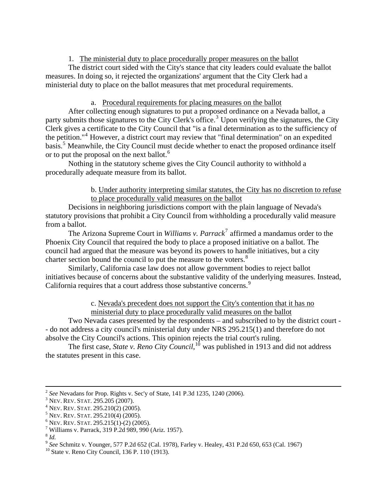1. The ministerial duty to place procedurally proper measures on the ballot

 The district court sided with the City's stance that city leaders could evaluate the ballot measures. In doing so, it rejected the organizations' argument that the City Clerk had a ministerial duty to place on the ballot measures that met procedural requirements.

#### a. Procedural requirements for placing measures on the ballot

 After collecting enough signatures to put a proposed ordinance on a Nevada ballot, a party submits those signatures to the City Clerk's office.<sup>[3](#page-2-0)</sup> Upon verifying the signatures, the City Clerk gives a certificate to the City Council that "is a final determination as to the sufficiency of the petition."<sup>[4](#page-2-1)</sup> However, a district court may review that "final determination" on an expedited basis.<sup>[5](#page-2-2)</sup> Meanwhile, the City Council must decide whether to enact the proposed ordinance itself or to put the proposal on the next ballot.<sup>[6](#page-2-3)</sup>

 Nothing in the statutory scheme gives the City Council authority to withhold a procedurally adequate measure from its ballot.

#### b. Under authority interpreting similar statutes, the City has no discretion to refuse to place procedurally valid measures on the ballot

 Decisions in neighboring jurisdictions comport with the plain language of Nevada's statutory provisions that prohibit a City Council from withholding a procedurally valid measure from a ballot.

The Arizona Supreme Court in *Williams v. Parrack*<sup>[7](#page-2-4)</sup> affirmed a mandamus order to the Phoenix City Council that required the body to place a proposed initiative on a ballot. The council had argued that the measure was beyond its powers to handle initiatives, but a city charter section bound the council to put the measure to the voters.<sup>[8](#page-2-5)</sup>

 Similarly, California case law does not allow government bodies to reject ballot initiatives because of concerns about the substantive validity of the underlying measures. Instead, California requires that a court address those substantive concerns.<sup>[9](#page-2-6)</sup>

#### c. Nevada's precedent does not support the City's contention that it has no ministerial duty to place procedurally valid measures on the ballot

 Two Nevada cases presented by the respondents – and subscribed to by the district court - - do not address a city council's ministerial duty under NRS 295.215(1) and therefore do not absolve the City Council's actions. This opinion rejects the trial court's ruling.

The first case, *State v. Reno City Council*,<sup>[10](#page-2-7)</sup> was published in 1913 and did not address the statutes present in this case.

<sup>&</sup>lt;sup>2</sup> See Nevadans for Prop. Rights v. Sec'y of State, 141 P.3d 1235, 1240 (2006).

<span id="page-2-0"></span> $3$  Nev. Rev. Stat. 295.205 (2007).

<span id="page-2-1"></span> $4$  Nev. Rev. Stat. 295.210(2) (2005).

<span id="page-2-2"></span> $5$  Nev. Rev. Stat. 295.210(4) (2005).

<span id="page-2-3"></span> $6$  Nev. Rev. Stat. 295.215(1)-(2) (2005).

<span id="page-2-4"></span>Williams v. Parrack, 319 P.2d 989, 990 (Ariz. 1957).

<span id="page-2-5"></span> $8$  *Id.* 

<span id="page-2-6"></span><sup>&</sup>lt;sup>9</sup> *See* Schmitz v. Younger, 577 P.2d 652 (Cal. 1978), Farley v. Healey, 431 P.2d 650, 653 (Cal. 1967) <sup>10</sup> State v. Reno City Council, 136 P. 110 (1913).

<span id="page-2-7"></span>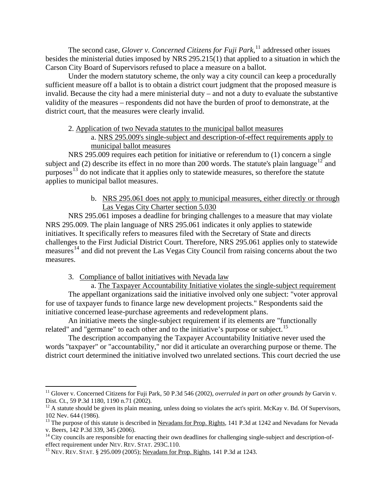The second case, *Glover v. Concerned Citizens for Fuji Park*,<sup>[11](#page-3-0)</sup> addressed other issues besides the ministerial duties imposed by NRS 295.215(1) that applied to a situation in which the Carson City Board of Supervisors refused to place a measure on a ballot.

 Under the modern statutory scheme, the only way a city council can keep a procedurally sufficient measure off a ballot is to obtain a district court judgment that the proposed measure is invalid. Because the city had a mere ministerial duty – and not a duty to evaluate the substantive validity of the measures – respondents did not have the burden of proof to demonstrate, at the district court, that the measures were clearly invalid.

#### 2. Application of two Nevada statutes to the municipal ballot measures

a. NRS 295.009's single-subject and description-of-effect requirements apply to municipal ballot measures

 NRS 295.009 requires each petition for initiative or referendum to (1) concern a single subject and (2) describe its effect in no more than 200 words. The statute's plain language<sup>[12](#page-3-1)</sup> and purposes<sup>[13](#page-3-2)</sup> do not indicate that it applies only to statewide measures, so therefore the statute applies to municipal ballot measures.

> b. NRS 295.061 does not apply to municipal measures, either directly or through Las Vegas City Charter section 5.030

 NRS 295.061 imposes a deadline for bringing challenges to a measure that may violate NRS 295.009. The plain language of NRS 295.061 indicates it only applies to statewide initiatives. It specifically refers to measures filed with the Secretary of State and directs challenges to the First Judicial District Court. Therefore, NRS 295.061 applies only to statewide measures<sup>[14](#page-3-3)</sup> and did not prevent the Las Vegas City Council from raising concerns about the two measures.

3. Compliance of ballot initiatives with Nevada law

a. The Taxpayer Accountability Initiative violates the single-subject requirement The appellant organizations said the initiative involved only one subject: "voter approval for use of taxpayer funds to finance large new development projects." Respondents said the initiative concerned lease-purchase agreements and redevelopment plans.

 An initiative meets the single-subject requirement if its elements are "functionally related" and "germane" to each other and to the initiative's purpose or subject.<sup>[15](#page-3-4)</sup>

 The description accompanying the Taxpayer Accountability Initiative never used the words "taxpayer" or "accountability," nor did it articulate an overarching purpose or theme. The district court determined the initiative involved two unrelated sections. This court decried the use

 $\overline{a}$ 

<span id="page-3-0"></span><sup>&</sup>lt;sup>11</sup> Glover v. Concerned Citizens for Fuji Park, 50 P.3d 546 (2002), *overruled in part on other grounds by* Garvin v. Dist. Ct., 59 P.3d 1180, 1190 n.71 (2002).

<span id="page-3-1"></span> $12$  A statute should be given its plain meaning, unless doing so violates the act's spirit. McKay v. Bd. Of Supervisors, 102 Nev. 644 (1986).

<span id="page-3-2"></span><sup>&</sup>lt;sup>13</sup> The purpose of this statute is described in Nevadans for Prop. Rights, 141 P.3d at 1242 and Nevadans for Nevada v. Beers, 142 P.3d 339, 345 (2006).

<span id="page-3-3"></span> $14$  City councils are responsible for enacting their own deadlines for challenging single-subject and description-of-effect requirement under NEV. REV. STAT. 293C.110.

<span id="page-3-4"></span><sup>&</sup>lt;sup>15</sup> NEV. REV. STAT. § 295.009 (2005); Nevadans for Prop. Rights, 141 P.3d at 1243.